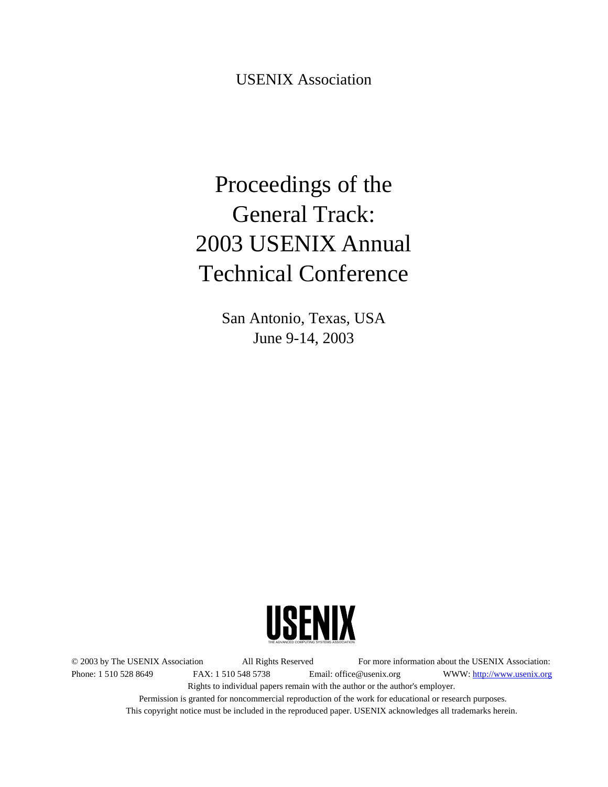USENIX Association

# Proceedings of the General Track: 2003 USENIX Annual Technical Conference

San Antonio, Texas, USA June 9-14, 2003



© 2003 by The USENIX Association All Rights Reserved For more information about the USENIX Association: Phone: 1 510 528 8649 FAX: 1 510 548 5738 Email: office@usenix.org WWW: http://www.usenix.org Rights to individual papers remain with the author or the author's employer. Permission is granted for noncommercial reproduction of the work for educational or research purposes. This copyright notice must be included in the reproduced paper. USENIX acknowledges all trademarks herein.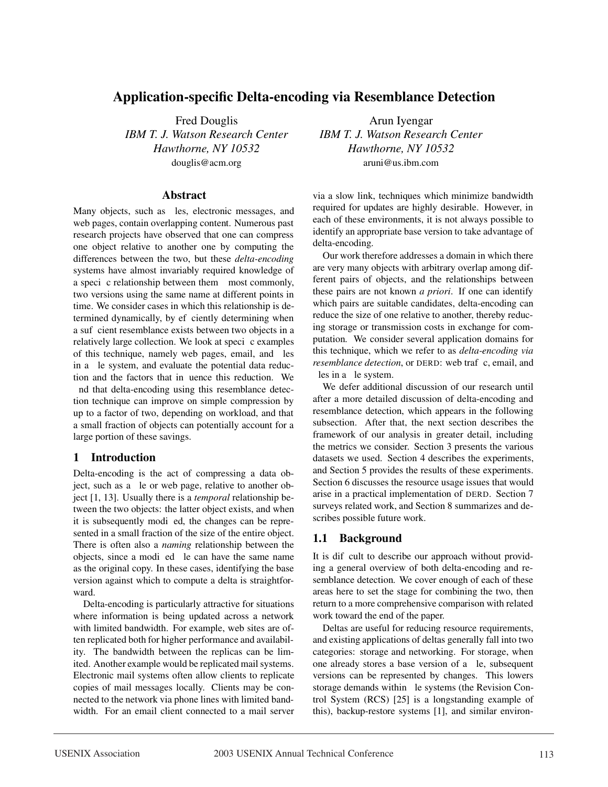# **Application-specific Delta-encoding via Resemblance Detection**

Fred Douglis *IBM T. J. Watson Research Center Hawthorne, NY 10532* douglis@acm.org

#### **Abstract**

Many objects, such as Þles, electronic messages, and web pages, contain overlapping content. Numerous past research projects have observed that one can compress one object relative to another one by computing the differences between the two, but these *delta-encoding* systems have almost invariably required knowledge of a speci**Þ**c relationship between themÑ most commonly, two versions using the same name at different points in time. We consider cases in which this relationship is determined dynamically, by efbciently determining when a sufÞcient resemblance exists between two objects in a relatively large collection. We look at speciÞc examples of this technique, namely web pages, email, and Þles in a Þle system, and evaluate the potential data reduction and the factors that inßuence this reduction. We Þnd that delta-encoding using this resemblance detection technique can improve on simple compression by up to a factor of two, depending on workload, and that a small fraction of objects can potentially account for a large portion of these savings.

## **1 Introduction**

Delta-encoding is the act of compressing a data object, such as a Þle or web page, relative to another object [1, 13]. Usually there is a *temporal* relationship between the two objects: the latter object exists, and when it is subsequently modiÞed, the changes can be represented in a small fraction of the size of the entire object. There is often also a *naming* relationship between the objects, since a modiÞed Þle can have the same name as the original copy. In these cases, identifying the base version against which to compute a delta is straightforward.

Delta-encoding is particularly attractive for situations where information is being updated across a network with limited bandwidth. For example, web sites are often replicated both for higher performance and availability. The bandwidth between the replicas can be limited. Another example would be replicated mail systems. Electronic mail systems often allow clients to replicate copies of mail messages locally. Clients may be connected to the network via phone lines with limited bandwidth. For an email client connected to a mail server

Arun Iyengar *IBM T. J. Watson Research Center Hawthorne, NY 10532* aruni@us.ibm.com

via a slow link, techniques which minimize bandwidth required for updates are highly desirable. However, in each of these environments, it is not always possible to identify an appropriate base version to take advantage of delta-encoding.

Our work therefore addresses a domain in which there are very many objects with arbitrary overlap among different pairs of objects, and the relationships between these pairs are not known *a priori*. If one can identify which pairs are suitable candidates, delta-encoding can reduce the size of one relative to another, thereby reducing storage or transmission costs in exchange for computation. We consider several application domains for this technique, which we refer to as *delta-encoding via resemblance detection*, or DERD: web trafÞc, email, and Þles in a Þle system.

We defer additional discussion of our research until after a more detailed discussion of delta-encoding and resemblance detection, which appears in the following subsection. After that, the next section describes the framework of our analysis in greater detail, including the metrics we consider. Section 3 presents the various datasets we used. Section 4 describes the experiments, and Section 5 provides the results of these experiments. Section 6 discusses the resource usage issues that would arise in a practical implementation of DERD. Section 7 surveys related work, and Section 8 summarizes and describes possible future work.

## **1.1 Background**

It is difÞcult to describe our approach without providing a general overview of both delta-encoding and resemblance detection. We cover enough of each of these areas here to set the stage for combining the two, then return to a more comprehensive comparison with related work toward the end of the paper.

Deltas are useful for reducing resource requirements, and existing applications of deltas generally fall into two categories: storage and networking. For storage, when one already stores a base version of a Þle, subsequent versions can be represented by changes. This lowers storage demands within Þle systems (the Revision Control System (RCS) [25] is a longstanding example of this), backup-restore systems [1], and similar environ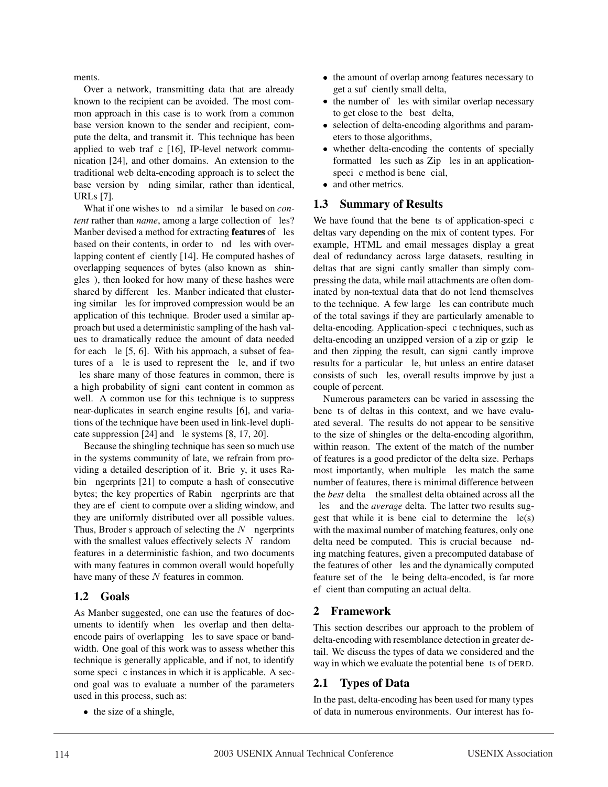ments.

Over a network, transmitting data that are already known to the recipient can be avoided. The most common approach in this case is to work from a common base version known to the sender and recipient, compute the delta, and transmit it. This technique has been applied to web traf $\blacktriangleright$  [16], IP-level network communication [24], and other domains. An extension to the traditional web delta-encoding approach is to select the base version by  $Pnding similar$ , rather than identical, URLs [7].

What if one wishes to **Þ**nd a similar **Þ**le based on *content* rather than *name*, among a large collection of  $P$ les? Manber devised a method for extracting **features** of **P**les based on their contents, in order to  $Pnd$  Ples with overlapping content ef $\triangleright$ ciently [14]. He computed hashes of overlapping sequences of bytes (also known as  $\hat{Q}$ hingles Q, then looked for how many of these hashes were shared by different Ples. Manber indicated that clustering similar  $PIes$  for improved compression would be an application of this technique. Broder used a similar approach but used a deterministic sampling of the hash values to dramatically reduce the amount of data needed for each  $\mathsf{Pl}$  [5, 6]. With his approach, a subset of features of a  $\mathsf{P}$ le is used to represent the  $\mathsf{P}$ le, and if two les share many of those features in common, there is a high probability of signibcant content in common as well. A common use for this technique is to suppress near-duplicates in search engine results [6], and variations of the technique have been used in link-level duplicate suppression  $[24]$  and  $\mathsf{P}$ le systems  $[8, 17, 20]$ .

Because the shingling technique has seen so much use in the systems community of late, we refrain from providing a detailed description of it. Brießy, it uses Rabin **Þ**ngerprints [21] to compute a hash of consecutive bytes; the key properties of Rabin **P**ngerprints are that they are efficient to compute over a sliding window, and they are uniformly distributed over all possible values. Thus, Broder $\Theta$  approach of selecting the N **Þ**ngerprints w with the smallest values effectively selects  $N$  **G**andom Q delt features in a deterministic fashion, and two documents with many features in common overall would hopefully have many of these  $N$  features in common.

## **1.2 Goals**

As Manber suggested, one can use the features of documents to identify when bles overlap and then deltaencode pairs of overlapping  $P$ les to save space or bandwidth. One goal of this work was to assess whether this technique is generally applicable, and if not, to identify some speci $\triangleright$ c instances in which it is applicable. A second goal was to evaluate a number of the parameters used in this process, such as:

• the size of a shingle,

- the amount of overlap among features necessary to get a suf<sup>p</sup>ciently small delta,
- the number of Ples with similar overlap necessary to get close to the **O**best**O**delta,
- selection of delta-encoding algorithms and parameters to those algorithms,
- whether delta-encoding the contents of specially formatted bles such as Zip bles in an applicationspeci $\triangleright$ c method is bene $\triangleright$ cial,
- and other metrics.

#### **1.3 Summary of Results**

We have found that the benenders of application-specific deltas vary depending on the mix of content types. For example, HTML and email messages display a great deal of redundancy across large datasets, resulting in deltas that are signibcantly smaller than simply compressing the data, while mail attachments are often dominated by non-textual data that do not lend themselves to the technique. A few large **Ples can contribute much** of the total savings if they are particularly amenable to delta-encoding. Application-specible techniques, such as delta-encoding an unzipped version of a zip or gzip Ple and then zipping the result, can signibreantly improve results for a particular  $\mathsf{P}$ le, but unless an entire dataset consists of such Ples, overall results improve by just a couple of percent.

Numerous parameters can be varied in assessing the bene**P**ts of deltas in this context, and we have evaluated several. The results do not appear to be sensitive to the size of shingles or the delta-encoding algorithm, within reason. The extent of the match of the number of features is a good predictor of the delta size. Perhaps most importantly, when multiple Ples match the same number of features, there is minimal difference between the *best* delta $\tilde{N}$  the smallest delta obtained across all the **PlesN** and the *average* delta. The latter two results suggest that while it is benebrial to determine the  $\mathsf{ple}(s)$ with the maximal number of matching features, only one delta need be computed. This is crucial because  $Pnd$ ing matching features, given a precomputed database of the features of other **Ples** and the dynamically computed feature set of the ble being delta-encoded, is far more ef cient than computing an actual delta.

## **2 Framework**

This section describes our approach to the problem of delta-encoding with resemblance detection in greater detail. We discuss the types of data we considered and the way in which we evaluate the potential bene**D**ts of DERD.

## **2.1 Types of Data**

In the past, delta-encoding has been used for many types of data in numerous environments. Our interest has fo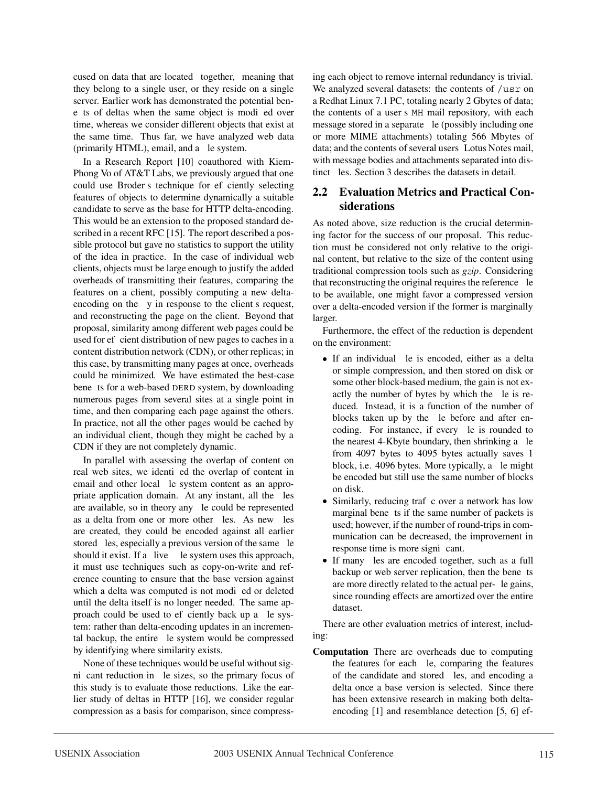cused on data that are located  $\hat{\mathbf{Q}}$ ogether,  $\hat{\mathbf{Q}}$ meaning that they belong to a single user, or they reside on a single server. Earlier work has demonstrated the potential beneÞts of deltas when the same object is modiÞed over time, whereas we consider different objects that exist at the same time. Thus far, we have analyzed web data (primarily HTML), email, and a **P**le system.

In a Research Report [10] coauthored with Kiem-Phong Vo of AT&T Labs, we previously argued that one could use Broder $\tilde{\Theta}$  technique for ef $\Phi$ ciently selecting features of objects to determine dynamically a suitable candidate to serve as the base for HTTP delta-encoding. This would be an extension to the proposed standard described in a recent RFC [15]. The report described a possible protocol but gave no statistics to support the utility of the idea in practice. In the case of individual web clients, objects must be large enough to justify the added overheads of transmitting their features, comparing the features on a client, possibly computing a new deltaencoding on the  $\beta y$  in response to the client  $\Theta$  request, and reconstructing the page on the client. Beyond that proposal, similarity among different web pages could be used for ef<sup>p</sup>cient distribution of new pages to caches in a content distribution network (CDN), or other replicas; in this case, by transmitting many pages at once, overheads could be minimized. We have estimated the best-case bene**Þ**ts for a web-based DERD system, by downloading numerous pages from several sites at a single point in time, and then comparing each page against the others. In practice, not all the other pages would be cached by an individual client, though they might be cached by a CDN if they are not completely dynamic.

In parallel with assessing the overlap of content on real web sites, we identibed the overlap of content in email and other local  $\mathsf{P}$ le system content as an appropriate application domain. At any instant, all the **Ples** are available, so in theory any  $\mathsf{P}$ le could be represented as a delta from one or more other **Ples**. As new **Ples** are created, they could be encoded against all earlier stored **P**les, especially a previous version of the same **P**le should it exist. If a  $\dot{Q}$ ive $\dot{Q}$ Ple system uses this approach, it must use techniques such as copy-on-write and reference counting to ensure that the base version against which a delta was computed is not modibed or deleted until the delta itself is no longer needed. The same approach could be used to efficiently back up a ble system: rather than delta-encoding updates in an incremental backup, the entire ble system would be compressed by identifying where similarity exists.

None of these techniques would be useful without signi cant reduction in ble sizes, so the primary focus of this study is to evaluate those reductions. Like the earlier study of deltas in HTTP [16], we consider regular compression as a basis for comparison, since compressing each object to remove internal redundancy is trivial. We analyzed several datasets: the contents of /usr on a Redhat Linux 7.1 PC, totaling nearly 2 Gbytes of data; the contents of a user  $\ddot{\mathbf{\Theta}}$  MH mail repository, with each message stored in a separate  $\mathsf{P}$ le (possibly including one or more MIME attachments) totaling 566 Mbytes of data; and the contents of several users $\tilde{Q}$  otus Notes mail, with message bodies and attachments separated into distinct Ples. Section 3 describes the datasets in detail.

## **2.2 Evaluation Metrics and Practical Considerations**

As noted above, size reduction is the crucial determining factor for the success of our proposal. This reduction must be considered not only relative to the original content, but relative to the size of the content using traditional compression tools such as *gzip*. Considering that reconstructing the original requires the reference  $\mathsf{P}\mathsf{I}\mathsf{e}$ to be available, one might favor a compressed version over a delta-encoded version if the former is marginally larger.

Furthermore, the effect of the reduction is dependent on the environment:

- If an individual **Ple** is encoded, either as a delta or simple compression, and then stored on disk or some other block-based medium, the gain is not exactly the number of bytes by which the  $\mathsf{P}$ le is reduced. Instead, it is a function of the number of blocks taken up by the  $\mathsf{P}$ le before and after encoding. For instance, if every  $\mathsf{P}$ le is rounded to the nearest 4-Kbyte boundary, then shrinking a  $\mathsf{P}$ le from 4097 bytes to 4095 bytes actually saves 1 block, i.e. 4096 bytes. More typically, a ble might be encoded but still use the same number of blocks on disk.
- Similarly, reducing traf<sup>p</sup>c over a network has low marginal bene $P$ ts if the same number of packets is used; however, if the number of round-trips in communication can be decreased, the improvement in response time is more signibulant.
- If many bles are encoded together, such as a full backup or web server replication, then the benebts are more directly related to the actual per- $\mathsf{P}$ le gains, since rounding effects are amortized over the entire dataset.

There are other evaluation metrics of interest, including:

**Computation** There are overheads due to computing the features for each  $\mathsf{Pl}$ , comparing the features of the candidate and stored **P**les, and encoding a delta once a base version is selected. Since there has been extensive research in making both deltaencoding [1] and resemblance detection [5, 6] ef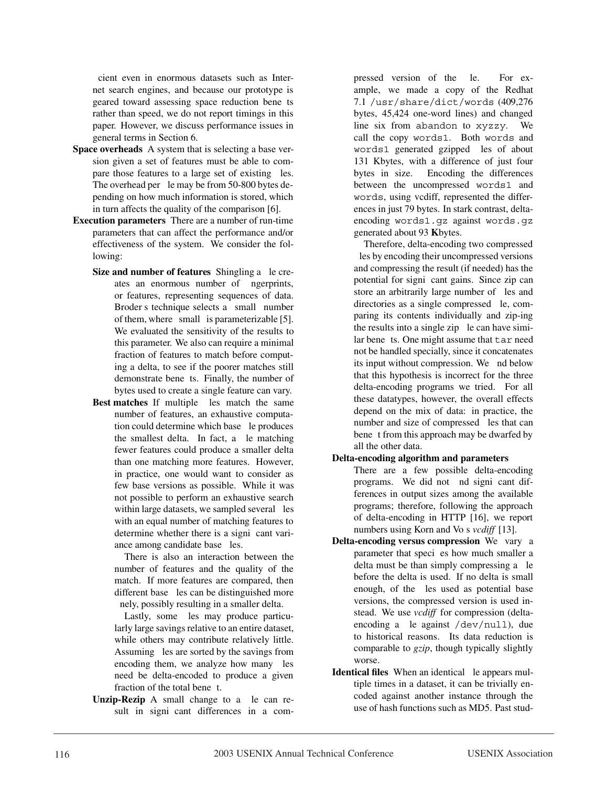cient even in enormous datasets such as Internet search engines, and because our prototype is geared toward assessing space reduction benebis rather than speed, we do not report timings in this paper. However, we discuss performance issues in general terms in Section 6.

- **Space overheads** A system that is selecting a base version given a set of features must be able to compare those features to a large set of existing  $P$ les. The overhead per **P**le may be from 50-800 bytes depending on how much information is stored, which in turn affects the quality of the comparison [6].
- **Execution parameters** There are a number of run-time parameters that can affect the performance and/or effectiveness of the system. We consider the following:
	- Size and number of features Shingling a Ple creates an enormous number of **P**ngerprints, or features, representing sequences of data. Broder $\ddot{\mathbf{\Theta}}$  technique selects a  $\ddot{\mathbf{\Theta}}$ mall $\dot{\mathbf{\Theta}}$ number of them, where  $\hat{\mathbf{Q}}$  mall $\hat{\mathbf{Q}}$  is parameterizable [5]. We evaluated the sensitivity of the results to this parameter. We also can require a minimal fraction of features to match before computing a delta, to see if the poorer matches still demonstrate bene**Þ**ts. Finally, the number of bytes used to create a single feature can vary.
	- Best matches If multiple bles match the same number of features, an exhaustive computation could determine which base ble produces the smallest delta. In fact, a **P**le matching fewer features could produce a smaller delta than one matching more features. However, in practice, one would want to consider as few base versions as possible. While it was not possible to perform an exhaustive search within large datasets, we sampled several Ples with an equal number of matching features to determine whether there is a signibularity variance among candidate base Ples.

There is also an interaction between the number of features and the quality of the match. If more features are compared, then different base **P**les can be distinguished more nely, possibly resulting in a smaller delta.

Lastly, some bles may produce particularly large savings relative to an entire dataset, while others may contribute relatively little. Assuming **P**les are sorted by the savings from encoding them, we analyze how many  $P$ les need be delta-encoded to produce a given fraction of the total bene $Pt$ .

Unzip-Rezip A small change to a ble can result in signibcant differences in a com-

pressed version of the **P**le. For example, we made a copy of the Redhat 7.1 /usr/share/dict/words (409,276 bytes, 45,424 one-word lines) and changed line six from abandon to xyzzy. We call the copy words1. Both words and words1 generated gzipped bles of about 131 Kbytes, with a difference of just four bytes in size. Encoding the differences between the uncompressed words1 and words, using vcdiff, represented the differences in just 79 bytes. In stark contrast, deltaencoding words1.gz against words.gz generated about 93 **K**bytes.

Therefore, delta-encoding two compressed Ples by encoding their uncompressed versions and compressing the result (if needed) has the potential for signibcant gains. Since zip can store an arbitrarily large number of  $P$ les and directories as a single compressed  $\mathsf{Pl}$ e, comparing its contents individually and zip-ing the results into a single zip  $\mathsf{P}$ le can have similar bene $P$ ts. One might assume that tar need not be handled specially, since it concatenates its input without compression. We **P**nd below that this hypothesis is incorrect for the three delta-encoding programs we tried. For all these datatypes, however, the overall effects depend on the mix of data: in practice, the number and size of compressed **Ples** that can bene pt from this approach may be dwarfed by all the other data.

- **Delta-encoding algorithm and parameters**
	- There are a few possible delta-encoding programs. We did not bnd signibcant differences in output sizes among the available programs; therefore, following the approach of delta-encoding in HTTP [16], we report numbers using Korn and Vo $\tilde{\mathbf{\Theta}}$  *vcdiff* [13].
- **Delta-encoding versus compression** We vary a parameter that specibles how much smaller a delta must be than simply compressing a  $\mathsf{P}$ le before the delta is used. If no delta is small enough, of the **P**les used as potential base versions, the compressed version is used instead. We use *vcdiff* for compression (deltaencoding a  $\Delta$  ple against /dev/null), due to historical reasons. Its data reduction is comparable to *gzip*, though typically slightly worse.
- **Identical files** When an identical **P**le appears multiple times in a dataset, it can be trivially encoded against another instance through the use of hash functions such as MD5. Past stud-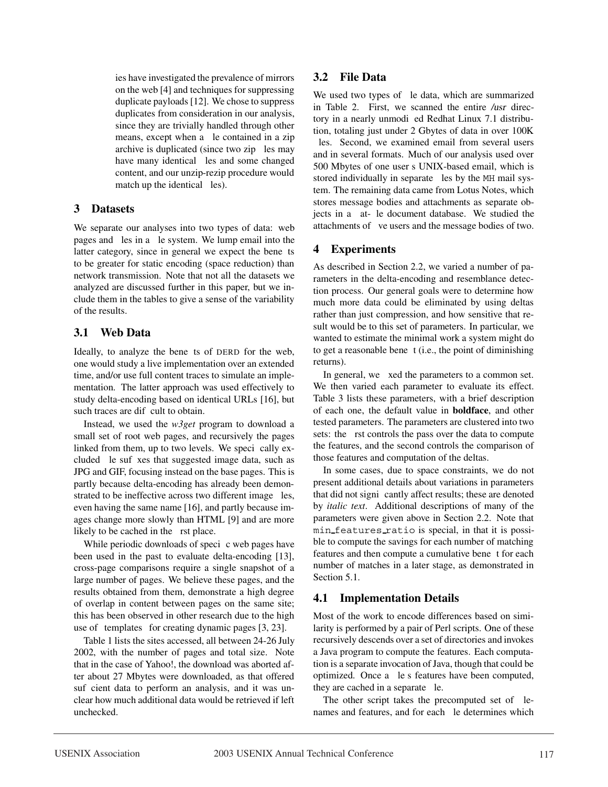ies have investigated the prevalence of mirrors on the web [4] and techniques for suppressing duplicate payloads [12]. We chose to suppress duplicates from consideration in our analysis, since they are trivially handled through other means, except when a **P**le contained in a zip archive is duplicated (since two zip **Ples may** have many identical **Ples** and some changed content, and our unzip-rezip procedure would match up the identical  $PIes$ ).

#### **3 Datasets**

We separate our analyses into two types of data: web pages and  $P$ les in a  $P$ le system. We lump email into the latter category, since in general we expect the benePts to be greater for static encoding (space reduction) than network transmission. Note that not all the datasets we analyzed are discussed further in this paper, but we include them in the tables to give a sense of the variability of the results.

# **3.1 Web Data**

Ideally, to analyze the bene**D**ts of DERD for the web, one would study a live implementation over an extended time, and/or use full content traces to simulate an implementation. The latter approach was used effectively to study delta-encoding based on identical URLs [16], but such traces are difficult to obtain.

Instead, we used the *w3get* program to download a small set of root web pages, and recursively the pages linked from them, up to two levels. We specibually excluded ble sufbxes that suggested image data, such as JPG and GIF, focusing instead on the base pages. This is partly because delta-encoding has already been demonstrated to be ineffective across two different image  $P$ les, even having the same name [16], and partly because images change more slowly than HTML [9] and are more likely to be cached in the **Prst** place.

While periodic downloads of speci $\triangleright$ c web pages have been used in the past to evaluate delta-encoding [13], cross-page comparisons require a single snapshot of a large number of pages. We believe these pages, and the results obtained from them, demonstrate a high degree of overlap in content between pages on the same site; this has been observed in other research due to the high use of  $\hat{\mathbf{Q}}$ emplates $\hat{\mathbf{Q}}$ for creating dynamic pages [3, 23].

Table 1 lists the sites accessed, all between 24-26 July 2002, with the number of pages and total size. Note that in the case of Yahoo!, the download was aborted after about 27 Mbytes were downloaded, as that offered sufpcient data to perform an analysis, and it was unclear how much additional data would be retrieved if left unchecked.

# **3.2 File Data**

We used two types of  $\mathsf{P}$ le data, which are summarized in Table 2. First, we scanned the entire /usr directory in a nearly unmodibed Redhat Linux 7.1 distribution, totaling just under 2 Gbytes of data in over 100K bles. Second, we examined email from several users and in several formats. Much of our analysis used over 500 Mbytes of one user $\ddot{\textbf{Q}}$  UNIX-based email, which is stored individually in separate **Ples** by the MH mail system. The remaining data came from Lotus Notes, which stores message bodies and attachments as separate objects in a ßat- $\Psi$ le document database. We studied the attachments of **Þ**ve users and the message bodies of two.

# **4 Experiments**

As described in Section 2.2, we varied a number of parameters in the delta-encoding and resemblance detection process. Our general goals were to determine how much more data could be eliminated by using deltas rather than just compression, and how sensitive that result would be to this set of parameters. In particular, we wanted to estimate the minimal work a system might do to get a reasonable bene $Pt$  (i.e., the point of diminishing returns).

In general, we **b**xed the parameters to a common set. We then varied each parameter to evaluate its effect. Table 3 lists these parameters, with a brief description of each one, the default value in **boldface**, and other tested parameters. The parameters are clustered into two sets: the  $P$ rst controls the pass over the data to compute the features, and the second controls the comparison of those features and computation of the deltas.

In some cases, due to space constraints, we do not present additional details about variations in parameters that did not signibcantly affect results; these are denoted by *italic text*. Additional descriptions of many of the parameters were given above in Section 2.2. Note that min features ratio is special, in that it is possible to compute the savings for each number of matching features and then compute a cumulative bene<sup>b</sup>t for each number of matches in a later stage, as demonstrated in Section 5.1.

# **4.1 Implementation Details**

Most of the work to encode differences based on similarity is performed by a pair of Perl scripts. One of these recursively descends over a set of directories and invokes a Java program to compute the features. Each computation is a separate invocation of Java, though that could be optimized. Once a  $\mathsf{Ple}\bar{\mathsf{Q}}$  features have been computed, they are cached in a separate  $\mathsf{P}$ le.

The other script takes the precomputed set of  $\varepsilon$ names and features, and for each **P**le determines which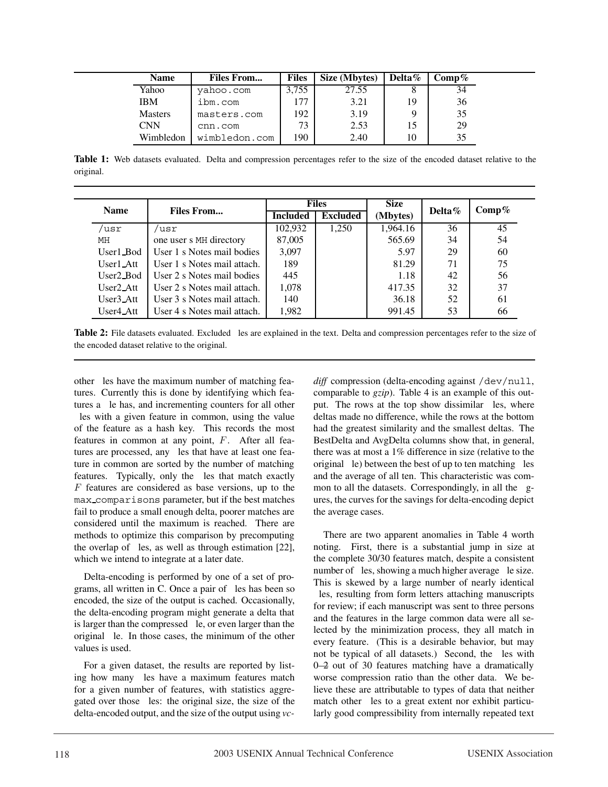| Name           | <b>Files From</b> | <b>Files</b> | Size (Mbytes) | Delta $\%$ | $\mathrm{Comp}\,\%$ |
|----------------|-------------------|--------------|---------------|------------|---------------------|
| Yahoo          | yahoo.com         | 3.755        | 27.55         |            | 34                  |
| <b>IBM</b>     | ibm.com           |              | 3.21          | 19         | 36                  |
| <b>Masters</b> | masters.com       | 192          | 3.19          |            | 35                  |
| <b>CNN</b>     | cnn.com           | 73           | 2.53          | 15         | 29                  |
| Wimbledon      | wimbledon.com     | 190          | 2.40          | 10         |                     |

**Table 1:** Web datasets evaluated. Delta and compression percentages refer to the size of the encoded dataset relative to the original.

| <b>Name</b>             | <b>Files From</b>                                                 | <b>Files</b>    |                 | <b>Size</b> |            | Comp% |
|-------------------------|-------------------------------------------------------------------|-----------------|-----------------|-------------|------------|-------|
|                         |                                                                   | <b>Included</b> | <b>Excluded</b> | (Mbytes)    | Delta $\%$ |       |
| usr/                    | 'usr                                                              | 102,932         | 1,250           | 1,964.16    | 36         | 45    |
| MH                      | one user $\ddot{\mathbf{\Theta}}$ MH directory                    | 87,005          |                 | 565.69      | 34         | 54    |
| User1_Bod               | User 1 <sup><math>\ddot{\text{Q}}</math></sup> Notes mail bodies  | 3.097           |                 | 5.97        | 29         | 60    |
| $User1\_Att$            | User 10 Notes mail attach.                                        | 189             |                 | 81.29       | 71         | 75    |
| User <sub>2_Bod</sub>   | User 20 Notes mail bodies                                         | 445             |                 | 1.18        | 42         | 56    |
| $User2\_Att$            | User 2Q Notes mail attach.                                        | 1.078           |                 | 417.35      | 32         | 37    |
| $User3$ <sub>-Att</sub> | User 30 Notes mail attach.                                        | 140             |                 | 36.18       | 52         | 61    |
| User4_Att               | User 4 <sup><math>\ddot{\text{Q}}</math></sup> Notes mail attach. | 1,982           |                 | 991.45      | 53         | 66    |

Table 2: File datasets evaluated. Excluded Ples are explained in the text. Delta and compression percentages refer to the size of the encoded dataset relative to the original.

other *Ples* have the maximum number of matching features. Currently this is done by identifying which features a ble has, and incrementing counters for all other Ples with a given feature in common, using the value of the feature as a hash key. This records the most features in common at any point,  $F$ . After all features are processed, any **Ples** that have at least one feature in common are sorted by the number of matching features. Typically, only the **Ples** that match exactly  $F$  features are considered as base versions, up to the max comparisons parameter, but if the best matches fail to produce a small enough delta, poorer matches are considered until the maximum is reached. There are methods to optimize this comparison by precomputing the overlap of Ples, as well as through estimation [22], which we intend to integrate at a later date.

Delta-encoding is performed by one of a set of programs, all written in C. Once a pair of **Ples** has been so encoded, the size of the output is cached. Occasionally, the delta-encoding program might generate a delta that is larger than the compressed  $\mathsf{Pl}$ e, or even larger than the original  $\mathsf{P}$ le. In those cases, the minimum of the other values is used.

For a given dataset, the results are reported by listing how many **P**les have a maximum features match for a given number of features, with statistics aggregated over those  $P$ les: the original size, the size of the delta-encoded output, and the size of the output using *vc-* diff compression (delta-encoding against /dev/null, comparable to *gzip*). Table 4 is an example of this output. The rows at the top show dissimilar  $P$ les, where deltas made no difference, while the rows at the bottom had the greatest similarity and the smallest deltas. The BestDelta and AvgDelta columns show that, in general, there was at most a 1% difference in size (relative to the original  $\mathsf{P}$ le) between the best of up to ten matching  $\mathsf{P}$ les and the average of all ten. This characteristic was common to all the datasets. Correspondingly, in all the  $Pg$ ures, the curves for the savings for delta-encoding depict the average cases.

There are two apparent anomalies in Table 4 worth noting. First, there is a substantial jump in size at the complete 30/30 features match, despite a consistent number of Ples, showing a much higher average Ple size. This is skewed by a large number of nearly identical bles, resulting from form letters attaching manuscripts for review; if each manuscript was sent to three persons and the features in the large common data were all selected by the minimization process, they all match in every feature. (This is a desirable behavior, but may not be typical of all datasets.) Second, the Ples with 0—2 out of 30 features matching have a dramatically worse compression ratio than the other data. We believe these are attributable to types of data that neither match other **Ples** to a great extent nor exhibit particularly good compressibility from internally repeated text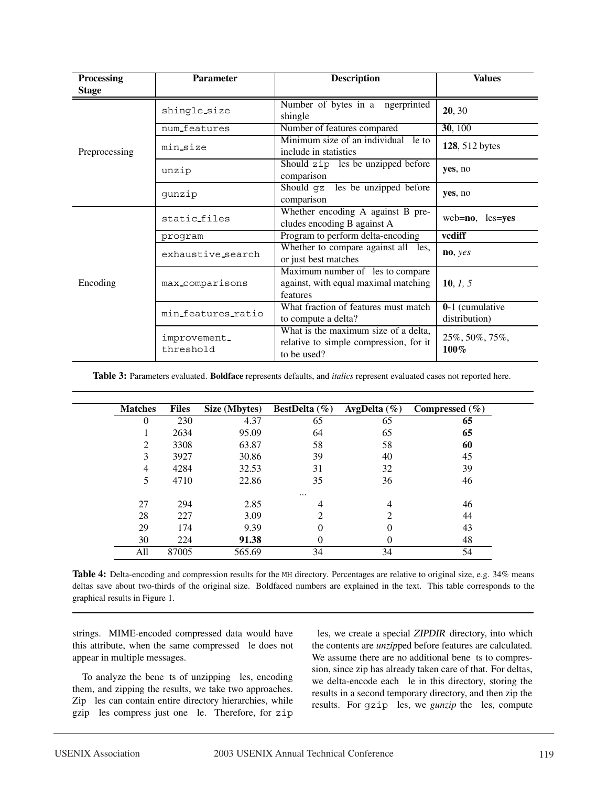| Processing    | <b>Parameter</b>          | <b>Description</b>                                                                            | <b>Values</b>                      |
|---------------|---------------------------|-----------------------------------------------------------------------------------------------|------------------------------------|
| <b>Stage</b>  |                           |                                                                                               |                                    |
|               | shingle_size              | Number of bytes in a <b>P</b> ngerprinted<br>shingle                                          | 20, 30                             |
|               | num_features              | Number of features compared                                                                   | 30, 100                            |
| Preprocessing | min_size                  | Minimum size of an individual <b>Ple</b> to<br>include in statistics                          | 128, 512 bytes                     |
|               | unzip                     | Should zip <b>Ples</b> be unzipped before<br>comparison                                       | ves, no                            |
|               | qunzip                    | Should qz Ples be unzipped before<br>comparison                                               | yes, no                            |
|               | static files              | Whether encoding A against B pre-<br>cludes encoding B against A                              | web=no, Ples=yes                   |
|               | program                   | Program to perform delta-encoding                                                             | vcdiff                             |
|               | exhaustive_search         | Whether to compare against all <b>Ples</b> ,<br>or just best matches                          | no, yes                            |
| Encoding      | max_comparisons           | Maximum number of <b>Ples</b> to compare<br>against, with equal maximal matching<br>features  | 10, $1, 5$                         |
|               | min_features_ratio        | What fraction of features must match<br>to compute a delta?                                   | $0-1$ (cumulative<br>distribution) |
|               | improvement.<br>threshold | What is the maximum size of a delta,<br>relative to simple compression, for it<br>to be used? | 25%, 50%, 75%,<br>100%             |

**Table 3:** Parameters evaluated. **Boldface** represents defaults, and *italics* represent evaluated cases not reported here.

| <b>Matches</b> | <b>Files</b> | Size (Mbytes) | <b>BestDelta</b> $(\%)$     | AvgDelta $(\% )$ | Compressed $(\% )$ |
|----------------|--------------|---------------|-----------------------------|------------------|--------------------|
| $\theta$       | 230          | 4.37          | 65                          | 65               | 65                 |
|                | 2634         | 95.09         | 64                          | 65               | 65                 |
| 2              | 3308         | 63.87         | 58                          | 58               | 60                 |
| 3              | 3927         | 30.86         | 39                          | 40               | 45                 |
| $\overline{4}$ | 4284         | 32.53         | 31                          | 32               | 39                 |
| 5              | 4710         | 22.86         | 35                          | 36               | 46                 |
|                |              |               | $\cdots$                    |                  |                    |
| 27             | 294          | 2.85          | 4                           | 4                | 46                 |
| 28             | 227          | 3.09          | $\mathcal{D}_{\mathcal{A}}$ | 2                | 44                 |
| 29             | 174          | 9.39          | $\Omega$                    | $\Omega$         | 43                 |
| 30             | 224          | 91.38         |                             |                  | 48                 |
| All            | 87005        | 565.69        | 34                          | 34               | 54                 |

**Table 4:** Delta-encoding and compression results for the MH directory. Percentages are relative to original size, e.g. 34% means deltas save about two-thirds of the original size. Boldfaced numbers are explained in the text. This table corresponds to the graphical results in Figure 1.

strings. MIME-encoded compressed data would have this attribute, when the same compressed ble does not appear in multiple messages.

To analyze the benePts of unzipping Ples, encoding them, and zipping the results, we take two approaches. Zip Ples can contain entire directory hierarchies, while gzip Ples compress just one Ple. Therefore, for zip Ples, we create a special ZIPDIR directory, into which the contents are *unzip*ped before features are calculated. We assume there are no additional benepts to compression, since zip has already taken care of that. For deltas, we delta-encode each  $\mathsf{P}$ le in this directory, storing the results in a second temporary directory, and then zip the results. For *qzip* **Ples**, we *gunzip* the **Ples**, compute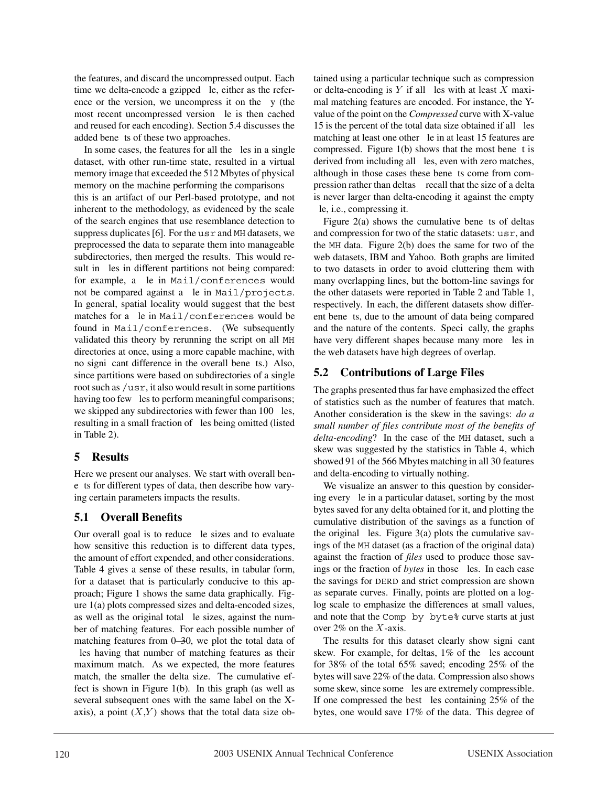the features, and discard the uncompressed output. Each time we delta-encode a gzipped  $\mathsf{P}$ le, either as the reference or the version, we uncompress it on the  $\beta y$  (the most recent uncompressed version  $\mathsf{P}$ le is then cached and reused for each encoding). Section 5.4 discusses the added bene**P**ts of these two approaches.

In some cases, the features for all the bles in a single dataset, with other run-time state, resulted in a virtual memory image that exceeded the 512 Mbytes of physical memory on the machine performing the comparisons  $\hat{N}$ this is an artifact of our Perl-based prototype, and not inherent to the methodology, as evidenced by the scale of the search engines that use resemblance detection to suppress duplicates [6]. For the usr and MH datasets, we preprocessed the data to separate them into manageable subdirectories, then merged the results. This would result in  $P$ les in different partitions not being compared: for example, a **Ple** in Mail/conferences would not be compared against a  $\mathsf{D}$ le in Mail/projects. In general, spatial locality would suggest that the best matches for a **P**le in Mail/conferences would be found in Mail/conferences. (We subsequently validated this theory by rerunning the script on all MH directories at once, using a more capable machine, with no signibulated difference in the overall benebits.) Also, since partitions were based on subdirectories of a single root such as /usr, it also would result in some partitions having too few **Ples** to perform meaningful comparisons; we skipped any subdirectories with fewer than 100 **P**les, resulting in a small fraction of  $P$ les being omitted (listed in Table 2).

## **5 Results**

Here we present our analyses. We start with overall beneÞts for different types of data, then describe how varying certain parameters impacts the results.

# **5.1 Overall Benefits**

Our overall goal is to reduce ble sizes and to evaluate how sensitive this reduction is to different data types, the amount of effort expended, and other considerations. Table 4 gives a sense of these results, in tabular form, for a dataset that is particularly conducive to this approach; Figure 1 shows the same data graphically. Figure 1(a) plots compressed sizes and delta-encoded sizes, as well as the original total  $\mathsf{P}$ le sizes, against the number of matching features. For each possible number of matching features from 0—30, we plot the total data of les having that number of matching features as their maximum match. As we expected, the more features match, the smaller the delta size. The cumulative effect is shown in Figure 1(b). In this graph (as well as several subsequent ones with the same label on the Xaxis), a point  $(X,Y)$  shows that the total data size obtained using a particular technique such as compression or delta-encoding is  $Y$  if all  $\blacktriangleright$  bes with at least  $X$  maximal matching features are encoded. For instance, the Yvalue of the point on the *Compressed* curve with X-value 15 is the percent of the total data size obtained if all Ples matching at least one other  $\mathsf{P}$ le in at least 15 features are compressed. Figure  $1(b)$  shows that the most bene $\blacktriangleright$  is derived from including all **Ples**, even with zero matches, although in those cases these benePts come from compression rather than deltas $\tilde{N}$  recall that the size of a delta is never larger than delta-encoding it against the empty le, i.e., compressing it.

Figure 2(a) shows the cumulative bene $P$ ts of deltas and compression for two of the static datasets: usr, and the MH data. Figure 2(b) does the same for two of the web datasets, IBM and Yahoo. Both graphs are limited to two datasets in order to avoid cluttering them with many overlapping lines, but the bottom-line savings for the other datasets were reported in Table 2 and Table 1, respectively. In each, the different datasets show different bene $P$ ts, due to the amount of data being compared and the nature of the contents. Specibcally, the graphs have very different shapes because many more **Ples** in the web datasets have high degrees of overlap.

# **5.2 Contributions of Large Files**

The graphs presented thus far have emphasized the effect of statistics such as the number of features that match. Another consideration is the skew in the savings: *do a small number of files contribute most of the benefits of delta-encoding*? In the case of the MH dataset, such a skew was suggested by the statistics in Table 4, which showed 91 of the 566 Mbytes matching in all 30 features and delta-encoding to virtually nothing.

We visualize an answer to this question by considering every  $\mathsf{P}$ le in a particular dataset, sorting by the most bytes saved for any delta obtained for it, and plotting the cumulative distribution of the savings as a function of the original  $P$ les. Figure 3(a) plots the cumulative savings of the MH dataset (as a fraction of the original data) against the fraction of *files* used to produce those savings or the fraction of *bytes* in those **Ples**. In each case the savings for DERD and strict compression are shown as separate curves. Finally, points are plotted on a loglog scale to emphasize the differences at small values, and note that the Comp by byte% curve starts at just over  $2\%$  on the X-axis.

The results for this dataset clearly show signibcant skew. For example, for deltas,  $1\%$  of the **P**les account for 38% of the total 65% saved; encoding 25% of the bytes will save 22% of the data. Compression also shows some skew, since some **P**les are extremely compressible. If one compressed the best  $P$ les containing 25% of the bytes, one would save 17% of the data. This degree of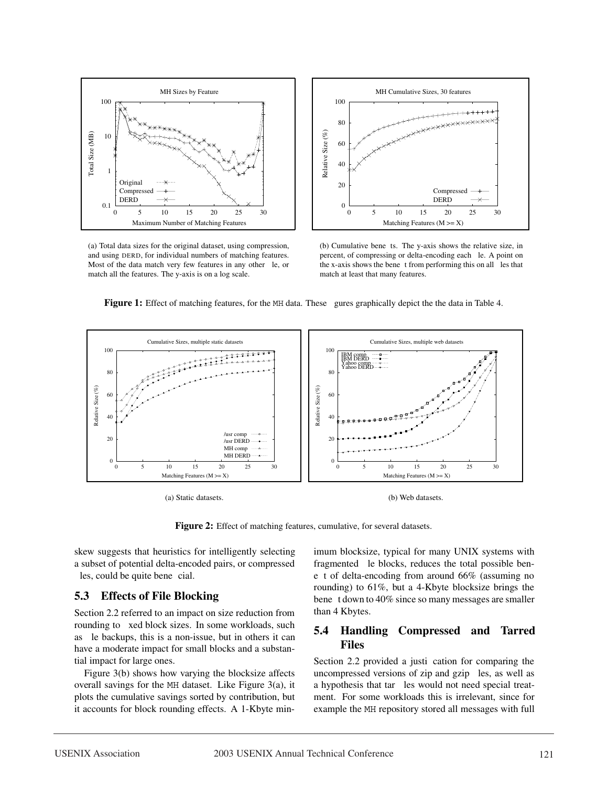

(a) Total data sizes for the original dataset, using compression, and using DERD, for individual numbers of matching features. Most of the data match very few features in any other  $\v{p}$ le, or match all the features. The y-axis is on a log scale.



(b) Cumulative benebts. The y-axis shows the relative size, in percent, of compressing or delta-encoding each  $\v{p}$ le. A point on the x-axis shows the bene $Pt$  from performing this on all  $P$ les that match at least that many features.

**Figure 1:** Effect of matching features, for the MH data. These **P**gures graphically depict the the data in Table 4.



(a) Static datasets.



Figure 2: Effect of matching features, cumulative, for several datasets.

skew suggests that heuristics for intelligently selecting a subset of potential delta-encoded pairs, or compressed bles, could be quite benebrial.

#### **5.3 Effects of File Blocking**

Section 2.2 referred to an impact on size reduction from rounding to **Þ**xed block sizes. In some workloads, such as ble backups, this is a non-issue, but in others it can have a moderate impact for small blocks and a substantial impact for large ones.

Figure 3(b) shows how varying the blocksize affects overall savings for the MH dataset. Like Figure 3(a), it plots the cumulative savings sorted by contribution, but it accounts for block rounding effects. A 1-Kbyte minimum blocksize, typical for many UNIX systems with fragmented  $\mathsf{P}$ le blocks, reduces the total possible ben $e$ **Ex** of delta-encoding from around 66% (assuming no rounding) to 61%, but a 4-Kbyte blocksize brings the bene Pt down to 40% since so many messages are smaller than 4 Kbytes.

#### **5.4 Handling Compressed and Tarred Files**

Section 2.2 provided a justi cation for comparing the uncompressed versions of zip and gzip  $P$ les, as well as a hypothesis that tar **Ples** would not need special treatment. For some workloads this is irrelevant, since for example the MH repository stored all messages with full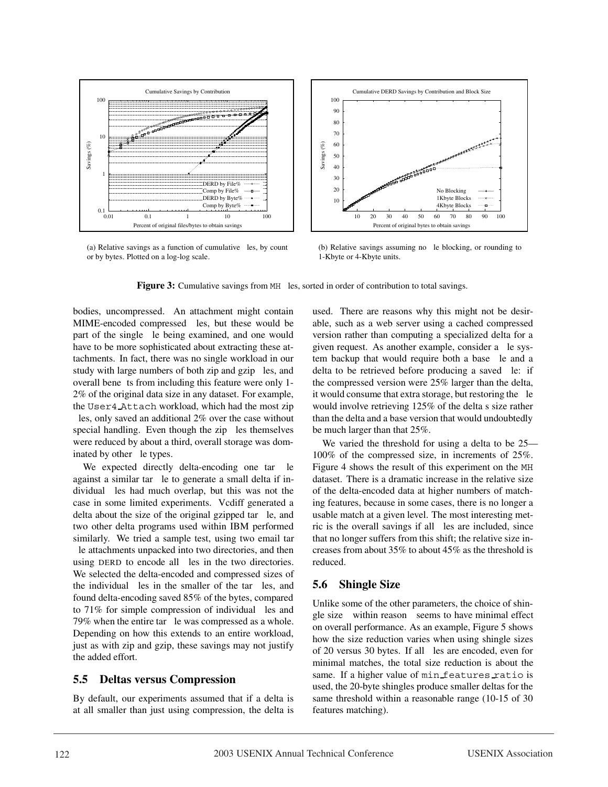

(a) Relative savings as a function of cumulative  $P$ les, by count or by bytes. Plotted on a log-log scale.



(b) Relative savings assuming no ble blocking, or rounding to 1-Kbyte or 4-Kbyte units.

**Figure 3:** Cumulative savings from MH **P**les, sorted in order of contribution to total savings.

bodies, uncompressed. An attachment might contain MIME-encoded compressed bles, but these would be part of the single **P**le being examined, and one would have to be more sophisticated about extracting these attachments. In fact, there was no single workload in our study with large numbers of both zip and gzip Ples, and overall bene**D**ts from including this feature were only 1-2% of the original data size in any dataset. For example, the User4 Attach workload, which had the most zip les, only saved an additional 2% over the case without special handling. Even though the zip **Ples** themselves were reduced by about a third, overall storage was dominated by other **Ple** types.

We expected directly delta-encoding one tar **D**le against a similar tar ble to generate a small delta if individual **Ples** had much overlap, but this was not the case in some limited experiments. Vcdiff generated a delta about the size of the original gzipped tar  $\mathsf{Pl}$ e, and two other delta programs used within IBM performed similarly. We tried a sample test, using two email tar **P**le attachments unpacked into two directories, and then using DERD to encode all **Ples** in the two directories. We selected the delta-encoded and compressed sizes of the individual Ples in the smaller of the tar Ples, and found delta-encoding saved 85% of the bytes, compared to  $71\%$  for simple compression of individual  $P$ les and 79% when the entire tar **Þ**le was compressed as a whole. Depending on how this extends to an entire workload, just as with zip and gzip, these savings may not justify the added effort.

## **5.5 Deltas versus Compression**

By default, our experiments assumed that if a delta is at all smaller than just using compression, the delta is

used. There are reasons why this might not be desirable, such as a web server using a cached compressed version rather than computing a specialized delta for a given request. As another example, consider a **P**le system backup that would require both a base  $\mathsf{P}$ le and a delta to be retrieved before producing a saved  $\vDash$ e: if the compressed version were 25% larger than the delta, it would consume that extra storage, but restoring the **P**le would involve retrieving  $125\%$  of the delta  $\circ$  size rather than the delta and a base version that would undoubtedly be much larger than that 25%.

We varied the threshold for using a delta to be 25— 100% of the compressed size, in increments of 25%. Figure 4 shows the result of this experiment on the MH dataset. There is a dramatic increase in the relative size of the delta-encoded data at higher numbers of matching features, because in some cases, there is no longer a usable match at a given level. The most interesting metric is the overall savings if all bles are included, since that no longer suffers from this shift; the relative size increases from about 35% to about 45% as the threshold is reduced.

# **5.6 Shingle Size**

Unlike some of the other parameters, the choice of shingle size $\tilde{N}$  within reason $\tilde{N}$  seems to have minimal effect on overall performance. As an example, Figure 5 shows how the size reduction varies when using shingle sizes of 20 versus 30 bytes. If all bles are encoded, even for minimal matches, the total size reduction is about the same. If a higher value of min features ratio is used, the 20-byte shingles produce smaller deltas for the same threshold within a reasonable range (10-15 of 30 features matching).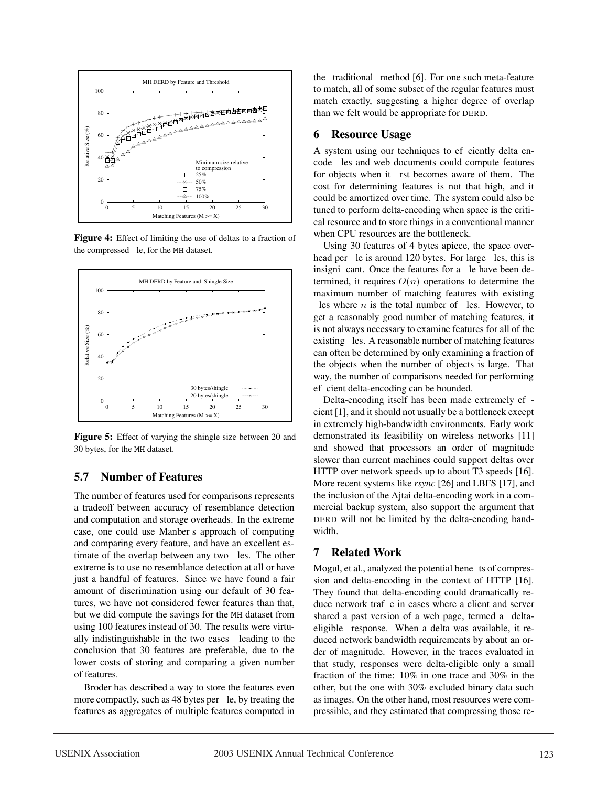

**Figure 4:** Effect of limiting the use of deltas to a fraction of the compressed  $\mathsf{Pl}$ e, for the MH dataset.



Figure 5: Effect of varying the shingle size between 20 and 30 bytes, for the MH dataset.

#### **5.7 Number of Features**

The number of features used for comparisons represents a tradeoff between accuracy of resemblance detection and computation and storage overheads. In the extreme case, one could use Manber $\ddot{\Theta}$  approach of computing and comparing every feature, and have an excellent estimate of the overlap between any two **Ples**. The other extreme is to use no resemblance detection at all or have just a handful of features. Since we have found a fair amount of discrimination using our default of 30 features, we have not considered fewer features than that, but we did compute the savings for the MH dataset from using 100 features instead of 30. The results were virtually indistinguishable in the two cases  $\tilde{N}$  leading to the conclusion that 30 features are preferable, due to the lower costs of storing and comparing a given number of features.

Broder has described a way to store the features even more compactly, such as 48 bytes per  $\mathsf{P}$ le, by treating the features as aggregates of multiple features computed in the  $\hat{Q}$ raditional $\hat{Q}$ method [6]. For one such meta-feature to match, all of some subset of the regular features must match exactly, suggesting a higher degree of overlap than we felt would be appropriate for DERD.

#### **6 Resource Usage**

A system using our techniques to efpeiently delta encode **P**les and web documents could compute features for objects when it **Þrst becomes aware of them.** The cost for determining features is not that high, and it could be amortized over time. The system could also be tuned to perform delta-encoding when space is the critical resource and to store things in a conventional manner when CPU resources are the bottleneck.

Using 30 features of 4 bytes apiece, the space overhead per  $\mathsf{P}$ le is around 120 bytes. For large  $\mathsf{P}$ les, this is insigni **cant**. Once the features for a **p**le have been determined, it requires  $O(n)$  operations to determine the maximum number of matching features with existing les where  $n$  is the total number of  $P$ les. However, to get a reasonably good number of matching features, it is not always necessary to examine features for all of the existing **Ples.** A reasonable number of matching features can often be determined by only examining a fraction of the objects when the number of objects is large. That way, the number of comparisons needed for performing ef beient delta-encoding can be bounded.

Delta-encoding itself has been made extremely ef $\blacktriangleright$ cient [1], and it should not usually be a bottleneck except in extremely high-bandwidth environments. Early work demonstrated its feasibility on wireless networks [11] and showed that processors an order of magnitude slower than current machines could support deltas over HTTP over network speeds up to about T3 speeds [16]. More recent systems like *rsync* [26] and LBFS [17], and the inclusion of the Ajtai delta-encoding work in a commercial backup system, also support the argument that DERD will not be limited by the delta-encoding bandwidth.

#### **7 Related Work**

Mogul, et al., analyzed the potential bene**P**ts of compression and delta-encoding in the context of HTTP [16]. They found that delta-encoding could dramatically reduce network traf**P**c in cases where a client and server shared a past version of a web page, termed a  $\dot{Q}$  leltaeligible $\acute{O}$ response. When a delta was available, it reduced network bandwidth requirements by about an order of magnitude. However, in the traces evaluated in that study, responses were delta-eligible only a small fraction of the time: 10% in one trace and 30% in the other, but the one with 30% excluded binary data such as images. On the other hand, most resources were compressible, and they estimated that compressing those re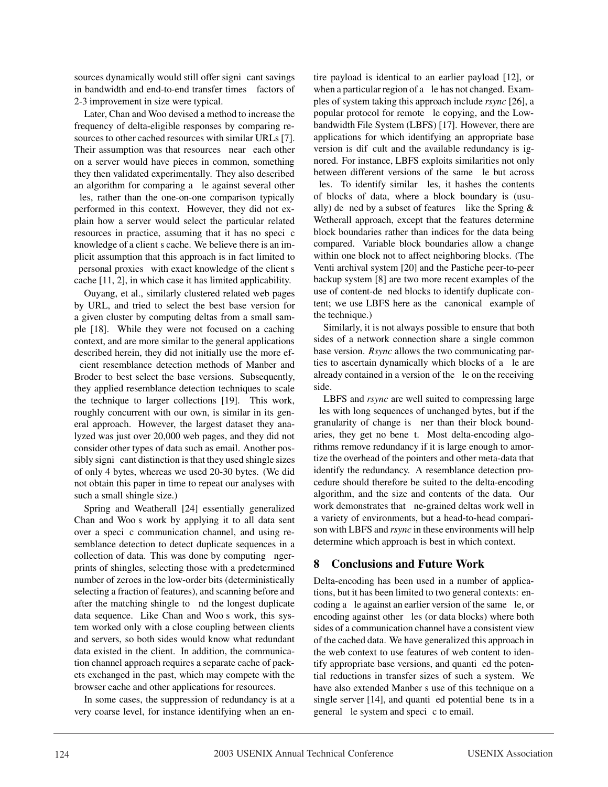sources dynamically would still offer signibcant savings in bandwidth and end-to-end transfer times  $\tilde{N}$  factors of 2-3 improvement in size were typical.

Later, Chan and Woo devised a method to increase the frequency of delta-eligible responses by comparing resources to other cached resources with similar URLs [7]. Their assumption was that resources  $\hat{Q}$  hear  $\hat{Q}$  each other on a server would have pieces in common, something they then validated experimentally. They also described an algorithm for comparing a ble against several other Ples, rather than the one-on-one comparison typically performed in this context. However, they did not explain how a server would select the particular related resources in practice, assuming that it has no specific knowledge of a client  $\tilde{\mathbf{\Theta}}$  cache. We believe there is an implicit assumption that this approach is in fact limited to  $Q$ ersonal proxies $Q$ with exact knowledge of the client  $\tilde{Q}$ cache [11, 2], in which case it has limited applicability.

Ouyang, et al., similarly clustered related web pages by URL, and tried to select the best base version for a given cluster by computing deltas from a small sample [18]. While they were not focused on a caching context, and are more similar to the general applications described herein, they did not initially use the more efcient resemblance detection methods of Manber and Broder to best select the base versions. Subsequently, they applied resemblance detection techniques to scale the technique to larger collections [19]. This work, roughly concurrent with our own, is similar in its general approach. However, the largest dataset they analyzed was just over 20,000 web pages, and they did not consider other types of data such as email. Another possibly signibeant distinction is that they used shingle sizes of only 4 bytes, whereas we used 20-30 bytes. (We did not obtain this paper in time to repeat our analyses with such a small shingle size.)

Spring and Weatherall [24] essentially generalized Chan and Woo $\ddot{\mathbf{\Theta}}$  work by applying it to all data sent over a specible communication channel, and using resemblance detection to detect duplicate sequences in a collection of data. This was done by computing  $P$ ngerprints of shingles, selecting those with a predetermined number of zeroes in the low-order bits (deterministically selecting a fraction of features), and scanning before and after the matching shingle to  $Pnd$  the longest duplicate data sequence. Like Chan and Woo $\ddot{\mathbf{Q}}$  work, this system worked only with a close coupling between clients and servers, so both sides would know what redundant data existed in the client. In addition, the communication channel approach requires a separate cache of packets exchanged in the past, which may compete with the browser cache and other applications for resources.

In some cases, the suppression of redundancy is at a very coarse level, for instance identifying when an entire payload is identical to an earlier payload [12], or when a particular region of a **P**le has not changed. Examples of system taking this approach include *rsync* [26], a popular protocol for remote  $\mathsf{P}$ le copying, and the Lowbandwidth File System (LBFS) [17]. However, there are applications for which identifying an appropriate base version is difficult and the available redundancy is ignored. For instance, LBFS exploits similarities not only between different versions of the same **P**le but across Ples. To identify similar Ples, it hashes the contents of blocks of data, where a block boundary is (usually) de $P$ ned by a subset of features $\tilde{N}$  like the Spring & Wetherall approach, except that the features determine block boundaries rather than indices for the data being compared. Variable block boundaries allow a change within one block not to affect neighboring blocks. (The Venti archival system [20] and the Pastiche peer-to-peer backup system [8] are two more recent examples of the use of content-de $D$ ned blocks to identify duplicate content; we use LBFS here as the  $\hat{\mathbf{Q}}$ anonical $\hat{\mathbf{Q}}$ example of the technique.)

Similarly, it is not always possible to ensure that both sides of a network connection share a single common base version. *Rsync* allows the two communicating parties to ascertain dynamically which blocks of a **P**le are already contained in a version of the **P**le on the receiving side.

LBFS and *rsync* are well suited to compressing large **Ples** with long sequences of unchanged bytes, but if the granularity of change is **Þ**ner than their block boundaries, they get no benebt. Most delta-encoding algorithms remove redundancy if it is large enough to amortize the overhead of the pointers and other meta-data that identify the redundancy. A resemblance detection procedure should therefore be suited to the delta-encoding algorithm, and the size and contents of the data. Our work demonstrates that  $\mathsf{P}$ ne-grained deltas work well in a variety of environments, but a head-to-head comparison with LBFS and *rsync* in these environments will help determine which approach is best in which context.

## **8 Conclusions and Future Work**

Delta-encoding has been used in a number of applications, but it has been limited to two general contexts: encoding a  $\mathsf{P}$ le against an earlier version of the same  $\mathsf{P}$ le, or encoding against other **Ples** (or data blocks) where both sides of a communication channel have a consistent view of the cached data. We have generalized this approach in the web context to use features of web content to identify appropriate base versions, and quantibed the potential reductions in transfer sizes of such a system. We have also extended Manber $\tilde{\Theta}$  use of this technique on a single server  $[14]$ , and quanti $\blacktriangleright$  potential bene $\blacktriangleright$ ts in a general  $\mathsf{P}$ le system and speci $\mathsf{P}$ c to email.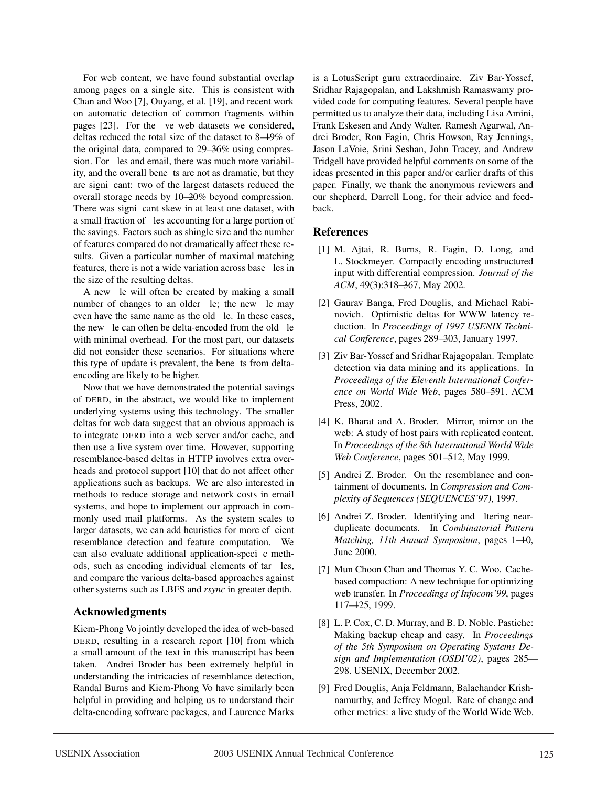For web content, we have found substantial overlap among pages on a single site. This is consistent with Chan and Woo [7], Ouyang, et al. [19], and recent work on automatic detection of common fragments within pages [23]. For the **D**ve web datasets we considered, deltas reduced the total size of the dataset to 8—19% of the original data, compared to 29—36% using compression. For **Ples and email, there was much more variabil**ity, and the overall bene**D**ts are not as dramatic, but they are signibcant: two of the largest datasets reduced the overall storage needs by 10—20% beyond compression. There was signibcant skew in at least one dataset, with a small fraction of **P**les accounting for a large portion of the savings. Factors such as shingle size and the number of features compared do not dramatically affect these results. Given a particular number of maximal matching features, there is not a wide variation across base  $P$ les in the size of the resulting deltas.

A new **P**le will often be created by making a small number of changes to an older  $\mathsf{P}$ le; the new  $\mathsf{P}$ le may even have the same name as the old  $\mathsf{P}$ le. In these cases, the new  $\mathsf{p}_e$  can often be delta-encoded from the old  $\mathsf{p}_e$ with minimal overhead. For the most part, our datasets did not consider these scenarios. For situations where this type of update is prevalent, the bene**P**ts from deltaencoding are likely to be higher.

Now that we have demonstrated the potential savings of DERD, in the abstract, we would like to implement underlying systems using this technology. The smaller deltas for web data suggest that an obvious approach is to integrate DERD into a web server and/or cache, and then use a live system over time. However, supporting resemblance-based deltas in HTTP involves extra overheads and protocol support [10] that do not affect other applications such as backups. We are also interested in methods to reduce storage and network costs in email systems, and hope to implement our approach in commonly used mail platforms. As the system scales to larger datasets, we can add heuristics for more efpcient resemblance detection and feature computation. We can also evaluate additional application-speci $\triangleright$ c methods, such as encoding individual elements of tar Ples, and compare the various delta-based approaches against other systems such as LBFS and *rsync* in greater depth.

## **Acknowledgments**

Kiem-Phong Vo jointly developed the idea of web-based DERD, resulting in a research report [10] from which a small amount of the text in this manuscript has been taken. Andrei Broder has been extremely helpful in understanding the intricacies of resemblance detection, Randal Burns and Kiem-Phong Vo have similarly been helpful in providing and helping us to understand their delta-encoding software packages, and Laurence Marks is a LotusScript guru extraordinaire. Ziv Bar-Yossef, Sridhar Rajagopalan, and Lakshmish Ramaswamy provided code for computing features. Several people have permitted us to analyze their data, including Lisa Amini, Frank Eskesen and Andy Walter. Ramesh Agarwal, Andrei Broder, Ron Fagin, Chris Howson, Ray Jennings, Jason LaVoie, Srini Seshan, John Tracey, and Andrew Tridgell have provided helpful comments on some of the ideas presented in this paper and/or earlier drafts of this paper. Finally, we thank the anonymous reviewers and our shepherd, Darrell Long, for their advice and feedback.

#### **References**

- [1] M. Ajtai, R. Burns, R. Fagin, D. Long, and L. Stockmeyer. Compactly encoding unstructured input with differential compression. *Journal of the ACM*, 49(3):318—367, May 2002.
- [2] Gaurav Banga, Fred Douglis, and Michael Rabinovich. Optimistic deltas for WWW latency reduction. In *Proceedings of 1997 USENIX Technical Conference*, pages 289—303, January 1997.
- [3] Ziv Bar-Yossef and Sridhar Rajagopalan. Template detection via data mining and its applications. In *Proceedings of the Eleventh International Conference on World Wide Web*, pages 580—591. ACM Press, 2002.
- [4] K. Bharat and A. Broder. Mirror, mirror on the web: A study of host pairs with replicated content. In *Proceedings of the 8th International World Wide Web Conference*, pages 501—512, May 1999.
- [5] Andrei Z. Broder. On the resemblance and containment of documents. In *Compression and Complexity of Sequences (SEQUENCES'97)*, 1997.
- [6] Andrei Z. Broder. Identifying and **P**itering nearduplicate documents. In *Combinatorial Pattern Matching, 11th Annual Symposium*, pages 1—10, June 2000.
- [7] Mun Choon Chan and Thomas Y. C. Woo. Cachebased compaction: A new technique for optimizing web transfer. In *Proceedings of Infocom'99*, pages 117—125, 1999.
- [8] L. P. Cox, C. D. Murray, and B. D. Noble. Pastiche: Making backup cheap and easy. In *Proceedings of the 5th Symposium on Operating Systems Design and Implementation (OSDI'02)*, pages 285— 298. USENIX, December 2002.
- [9] Fred Douglis, Anja Feldmann, Balachander Krishnamurthy, and Jeffrey Mogul. Rate of change and other metrics: a live study of the World Wide Web.